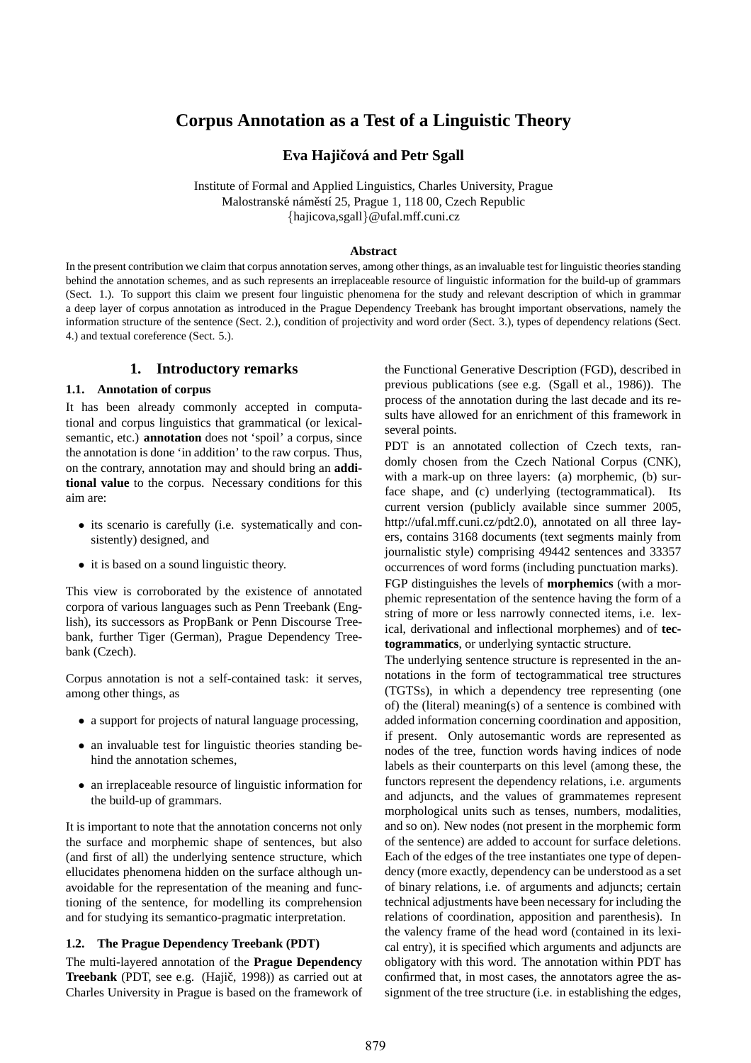# **Corpus Annotation as a Test of a Linguistic Theory**

**Eva Hajičová and Petr Sgall** 

Institute of Formal and Applied Linguistics, Charles University, Prague Malostranské náměstí 25, Prague 1, 118 00, Czech Republic {hajicova,sgall}@ufal.mff.cuni.cz

#### **Abstract**

In the present contribution we claim that corpus annotation serves, among other things, as an invaluable test for linguistic theories standing behind the annotation schemes, and as such represents an irreplaceable resource of linguistic information for the build-up of grammars (Sect. 1.). To support this claim we present four linguistic phenomena for the study and relevant description of which in grammar a deep layer of corpus annotation as introduced in the Prague Dependency Treebank has brought important observations, namely the information structure of the sentence (Sect. 2.), condition of projectivity and word order (Sect. 3.), types of dependency relations (Sect. 4.) and textual coreference (Sect. 5.).

## **1. Introductory remarks**

### **1.1. Annotation of corpus**

It has been already commonly accepted in computational and corpus linguistics that grammatical (or lexicalsemantic, etc.) **annotation** does not 'spoil' a corpus, since the annotation is done 'in addition' to the raw corpus. Thus, on the contrary, annotation may and should bring an **additional value** to the corpus. Necessary conditions for this aim are:

- its scenario is carefully (i.e. systematically and consistently) designed, and
- it is based on a sound linguistic theory.

This view is corroborated by the existence of annotated corpora of various languages such as Penn Treebank (English), its successors as PropBank or Penn Discourse Treebank, further Tiger (German), Prague Dependency Treebank (Czech).

Corpus annotation is not a self-contained task: it serves, among other things, as

- a support for projects of natural language processing,
- an invaluable test for linguistic theories standing behind the annotation schemes,
- an irreplaceable resource of linguistic information for the build-up of grammars.

It is important to note that the annotation concerns not only the surface and morphemic shape of sentences, but also (and first of all) the underlying sentence structure, which ellucidates phenomena hidden on the surface although unavoidable for the representation of the meaning and functioning of the sentence, for modelling its comprehension and for studying its semantico-pragmatic interpretation.

### **1.2. The Prague Dependency Treebank (PDT)**

The multi-layered annotation of the **Prague Dependency Treebank** (PDT, see e.g. (Hajič, 1998)) as carried out at Charles University in Prague is based on the framework of the Functional Generative Description (FGD), described in previous publications (see e.g. (Sgall et al., 1986)). The process of the annotation during the last decade and its results have allowed for an enrichment of this framework in several points.

PDT is an annotated collection of Czech texts, randomly chosen from the Czech National Corpus (CNK), with a mark-up on three layers: (a) morphemic, (b) surface shape, and (c) underlying (tectogrammatical). Its current version (publicly available since summer 2005, http://ufal.mff.cuni.cz/pdt2.0), annotated on all three layers, contains 3168 documents (text segments mainly from journalistic style) comprising 49442 sentences and 33357 occurrences of word forms (including punctuation marks). FGP distinguishes the levels of **morphemics** (with a morphemic representation of the sentence having the form of a string of more or less narrowly connected items, i.e. lexical, derivational and inflectional morphemes) and of **tectogrammatics**, or underlying syntactic structure.

The underlying sentence structure is represented in the annotations in the form of tectogrammatical tree structures (TGTSs), in which a dependency tree representing (one of) the (literal) meaning(s) of a sentence is combined with added information concerning coordination and apposition, if present. Only autosemantic words are represented as nodes of the tree, function words having indices of node labels as their counterparts on this level (among these, the functors represent the dependency relations, i.e. arguments and adjuncts, and the values of grammatemes represent morphological units such as tenses, numbers, modalities, and so on). New nodes (not present in the morphemic form of the sentence) are added to account for surface deletions. Each of the edges of the tree instantiates one type of dependency (more exactly, dependency can be understood as a set of binary relations, i.e. of arguments and adjuncts; certain technical adjustments have been necessary for including the relations of coordination, apposition and parenthesis). In the valency frame of the head word (contained in its lexical entry), it is specified which arguments and adjuncts are obligatory with this word. The annotation within PDT has confirmed that, in most cases, the annotators agree the assignment of the tree structure (i.e. in establishing the edges,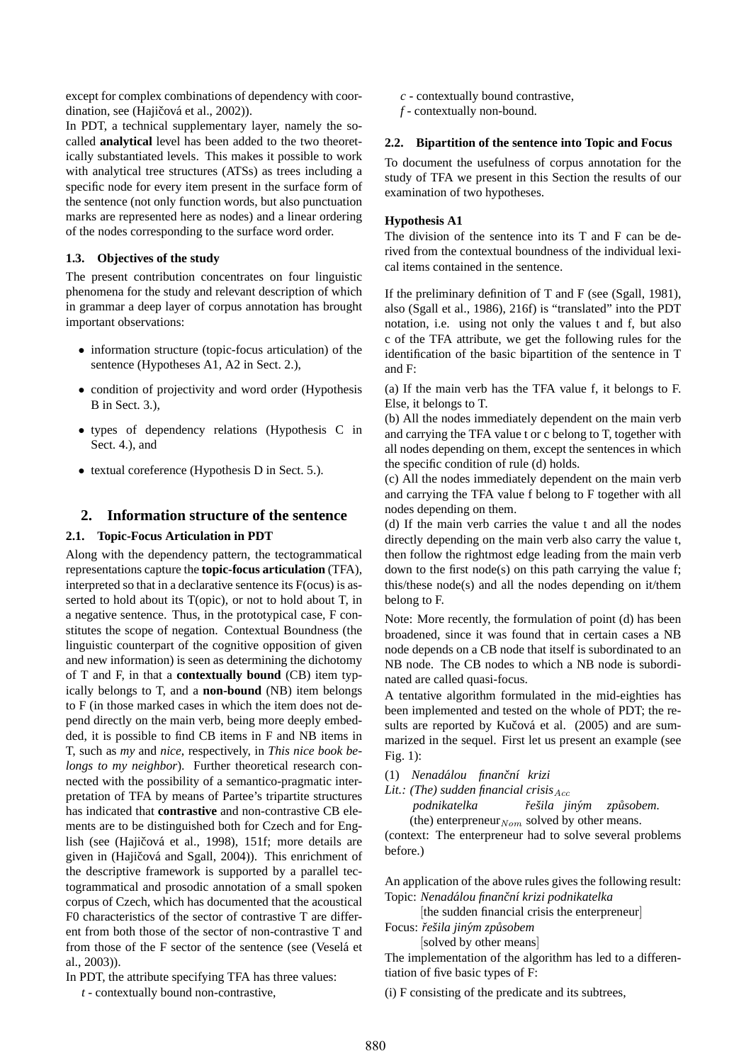except for complex combinations of dependency with coordination, see (Hajičová et al., 2002)).

In PDT, a technical supplementary layer, namely the socalled **analytical** level has been added to the two theoretically substantiated levels. This makes it possible to work with analytical tree structures (ATSs) as trees including a specific node for every item present in the surface form of the sentence (not only function words, but also punctuation marks are represented here as nodes) and a linear ordering of the nodes corresponding to the surface word order.

### **1.3. Objectives of the study**

The present contribution concentrates on four linguistic phenomena for the study and relevant description of which in grammar a deep layer of corpus annotation has brought important observations:

- information structure (topic-focus articulation) of the sentence (Hypotheses A1, A2 in Sect. 2.),
- condition of projectivity and word order (Hypothesis B in Sect. 3.),
- types of dependency relations (Hypothesis C in Sect. 4.), and
- textual coreference (Hypothesis D in Sect. 5.).

# **2. Information structure of the sentence**

### **2.1. Topic-Focus Articulation in PDT**

Along with the dependency pattern, the tectogrammatical representations capture the **topic-focus articulation** (TFA), interpreted so that in a declarative sentence its F(ocus) is asserted to hold about its T(opic), or not to hold about T, in a negative sentence. Thus, in the prototypical case, F constitutes the scope of negation. Contextual Boundness (the linguistic counterpart of the cognitive opposition of given and new information) is seen as determining the dichotomy of T and F, in that a **contextually bound** (CB) item typically belongs to T, and a **non-bound** (NB) item belongs to F (in those marked cases in which the item does not depend directly on the main verb, being more deeply embedded, it is possible to find CB items in F and NB items in T, such as *my* and *nice*, respectively, in *This nice book belongs to my neighbor*). Further theoretical research connected with the possibility of a semantico-pragmatic interpretation of TFA by means of Partee's tripartite structures has indicated that **contrastive** and non-contrastive CB elements are to be distinguished both for Czech and for English (see (Hajičová et al., 1998), 151f; more details are given in (Hajičová and Sgall, 2004)). This enrichment of the descriptive framework is supported by a parallel tectogrammatical and prosodic annotation of a small spoken corpus of Czech, which has documented that the acoustical F0 characteristics of the sector of contrastive T are different from both those of the sector of non-contrastive T and from those of the F sector of the sentence (see (Veselá et al., 2003)).

In PDT, the attribute specifying TFA has three values:

*t* - contextually bound non-contrastive,

- *c* contextually bound contrastive,
- *f* contextually non-bound.

### **2.2. Bipartition of the sentence into Topic and Focus**

To document the usefulness of corpus annotation for the study of TFA we present in this Section the results of our examination of two hypotheses.

### **Hypothesis A1**

The division of the sentence into its T and F can be derived from the contextual boundness of the individual lexical items contained in the sentence.

If the preliminary definition of T and F (see (Sgall, 1981), also (Sgall et al., 1986), 216f) is "translated" into the PDT notation, i.e. using not only the values t and f, but also c of the TFA attribute, we get the following rules for the identification of the basic bipartition of the sentence in T and F:

(a) If the main verb has the TFA value f, it belongs to F. Else, it belongs to T.

(b) All the nodes immediately dependent on the main verb and carrying the TFA value t or c belong to T, together with all nodes depending on them, except the sentences in which the specific condition of rule (d) holds.

(c) All the nodes immediately dependent on the main verb and carrying the TFA value f belong to F together with all nodes depending on them.

(d) If the main verb carries the value t and all the nodes directly depending on the main verb also carry the value t, then follow the rightmost edge leading from the main verb down to the first node(s) on this path carrying the value f; this/these node(s) and all the nodes depending on it/them belong to F.

Note: More recently, the formulation of point (d) has been broadened, since it was found that in certain cases a NB node depends on a CB node that itself is subordinated to an NB node. The CB nodes to which a NB node is subordinated are called quasi-focus.

A tentative algorithm formulated in the mid-eighties has been implemented and tested on the whole of PDT; the results are reported by Kučová et al. (2005) and are summarized in the sequel. First let us present an example (see Fig. 1):

(1) *Nenadalou finan ´ cnˇ ´ı krizi*

*Lit.: (The) sudden financial crisis* $_{Acc}$ 

*podnikatelka reˇsila jin ˇ ym zp ´ usobem. ˚* (the) enterpreneur  $_{Nom}$  solved by other means.

(context: The enterpreneur had to solve several problems before.)

An application of the above rules gives the following result: Topic: *Nenadalou finan ´ cnˇ ´ı krizi podnikatelka*

[the sudden financial crisis the enterpreneur] Focus: *reˇ ˇsila jinym zp ´ usobem ˚*

[solved by other means]

The implementation of the algorithm has led to a differentiation of five basic types of F:

(i) F consisting of the predicate and its subtrees,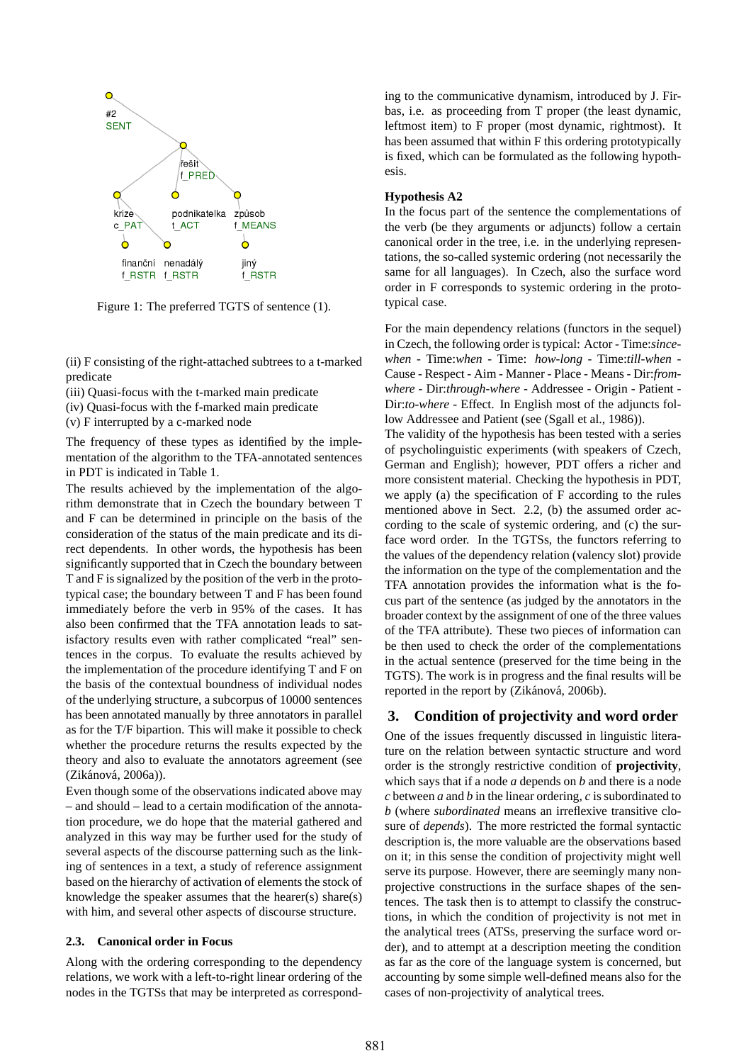

Figure 1: The preferred TGTS of sentence (1).

(ii) F consisting of the right-attached subtrees to a t-marked predicate

(iii) Quasi-focus with the t-marked main predicate

(iv) Quasi-focus with the f-marked main predicate

(v) F interrupted by a c-marked node

The frequency of these types as identified by the implementation of the algorithm to the TFA-annotated sentences in PDT is indicated in Table 1.

The results achieved by the implementation of the algorithm demonstrate that in Czech the boundary between T and F can be determined in principle on the basis of the consideration of the status of the main predicate and its direct dependents. In other words, the hypothesis has been significantly supported that in Czech the boundary between T and F is signalized by the position of the verb in the prototypical case; the boundary between T and F has been found immediately before the verb in 95% of the cases. It has also been confirmed that the TFA annotation leads to satisfactory results even with rather complicated "real" sentences in the corpus. To evaluate the results achieved by the implementation of the procedure identifying T and F on the basis of the contextual boundness of individual nodes of the underlying structure, a subcorpus of 10000 sentences has been annotated manually by three annotators in parallel as for the T/F bipartion. This will make it possible to check whether the procedure returns the results expected by the theory and also to evaluate the annotators agreement (see (Zikánová, 2006a)).

Even though some of the observations indicated above may – and should – lead to a certain modification of the annotation procedure, we do hope that the material gathered and analyzed in this way may be further used for the study of several aspects of the discourse patterning such as the linking of sentences in a text, a study of reference assignment based on the hierarchy of activation of elements the stock of knowledge the speaker assumes that the hearer(s) share(s) with him, and several other aspects of discourse structure.

#### **2.3. Canonical order in Focus**

Along with the ordering corresponding to the dependency relations, we work with a left-to-right linear ordering of the nodes in the TGTSs that may be interpreted as corresponding to the communicative dynamism, introduced by J. Firbas, i.e. as proceeding from T proper (the least dynamic, leftmost item) to F proper (most dynamic, rightmost). It has been assumed that within F this ordering prototypically is fixed, which can be formulated as the following hypothesis.

#### **Hypothesis A2**

In the focus part of the sentence the complementations of the verb (be they arguments or adjuncts) follow a certain canonical order in the tree, i.e. in the underlying representations, the so-called systemic ordering (not necessarily the same for all languages). In Czech, also the surface word order in F corresponds to systemic ordering in the prototypical case.

For the main dependency relations (functors in the sequel) in Czech, the following order is typical: Actor - Time:*sincewhen* - Time:*when* - Time: *how-long* - Time:*till-when* - Cause - Respect - Aim - Manner - Place - Means - Dir:*fromwhere* - Dir:*through-where* - Addressee - Origin - Patient - Dir:*to-where* - Effect. In English most of the adjuncts follow Addressee and Patient (see (Sgall et al., 1986)).

The validity of the hypothesis has been tested with a series of psycholinguistic experiments (with speakers of Czech, German and English); however, PDT offers a richer and more consistent material. Checking the hypothesis in PDT, we apply (a) the specification of F according to the rules mentioned above in Sect. 2.2, (b) the assumed order according to the scale of systemic ordering, and (c) the surface word order. In the TGTSs, the functors referring to the values of the dependency relation (valency slot) provide the information on the type of the complementation and the TFA annotation provides the information what is the focus part of the sentence (as judged by the annotators in the broader context by the assignment of one of the three values of the TFA attribute). These two pieces of information can be then used to check the order of the complementations in the actual sentence (preserved for the time being in the TGTS). The work is in progress and the final results will be reported in the report by (Zikánová, 2006b).

# **3. Condition of projectivity and word order**

One of the issues frequently discussed in linguistic literature on the relation between syntactic structure and word order is the strongly restrictive condition of **projectivity**, which says that if a node *a* depends on *b* and there is a node *c* between *a* and *b* in the linear ordering, *c* is subordinated to *b* (where *subordinated* means an irreflexive transitive closure of *depends*). The more restricted the formal syntactic description is, the more valuable are the observations based on it; in this sense the condition of projectivity might well serve its purpose. However, there are seemingly many nonprojective constructions in the surface shapes of the sentences. The task then is to attempt to classify the constructions, in which the condition of projectivity is not met in the analytical trees (ATSs, preserving the surface word order), and to attempt at a description meeting the condition as far as the core of the language system is concerned, but accounting by some simple well-defined means also for the cases of non-projectivity of analytical trees.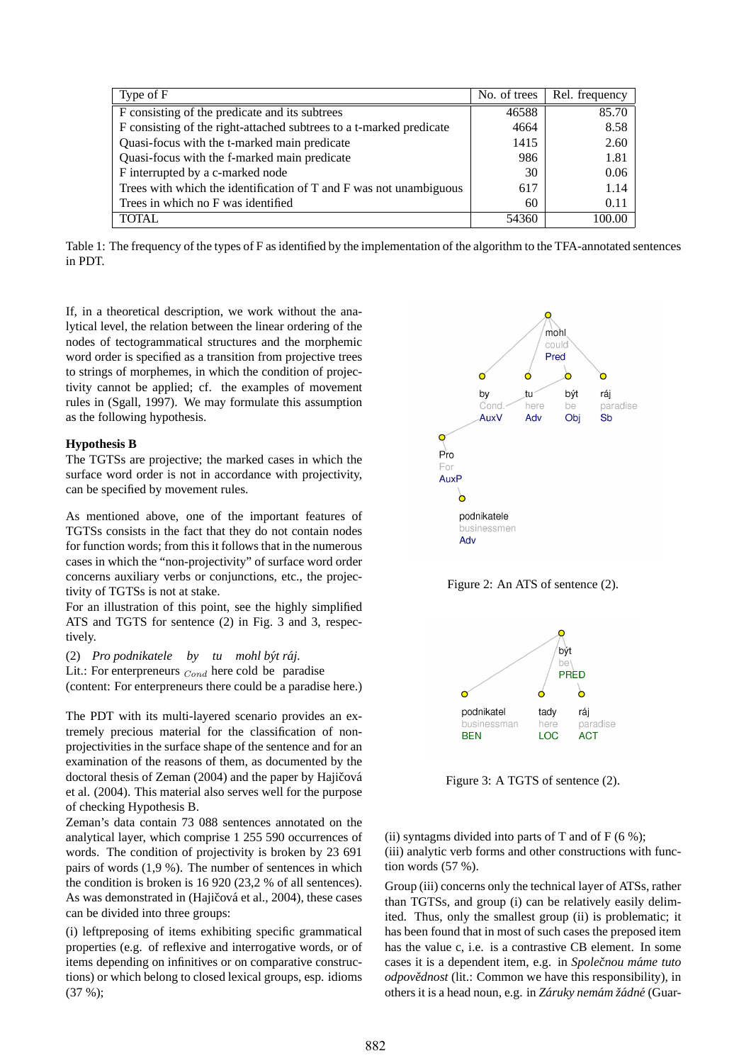| Type of F                                                           | No. of trees | Rel. frequency |
|---------------------------------------------------------------------|--------------|----------------|
| F consisting of the predicate and its subtrees                      | 46588        | 85.70          |
| F consisting of the right-attached subtrees to a t-marked predicate | 4664         | 8.58           |
| Quasi-focus with the t-marked main predicate                        | 1415         | 2.60           |
| Quasi-focus with the f-marked main predicate                        | 986          | 1.81           |
| F interrupted by a c-marked node                                    | 30           | 0.06           |
| Trees with which the identification of T and F was not unambiguous  | 617          | 1.14           |
| Trees in which no F was identified                                  | 60           | 0.11           |
| TOTAL                                                               | 54360        | 100.00         |

Table 1: The frequency of the types of F as identified by the implementation of the algorithm to the TFA-annotated sentences in PDT.

If, in a theoretical description, we work without the analytical level, the relation between the linear ordering of the nodes of tectogrammatical structures and the morphemic word order is specified as a transition from projective trees to strings of morphemes, in which the condition of projectivity cannot be applied; cf. the examples of movement rules in (Sgall, 1997). We may formulate this assumption as the following hypothesis.

#### **Hypothesis B**

The TGTSs are projective; the marked cases in which the surface word order is not in accordance with projectivity, can be specified by movement rules.

As mentioned above, one of the important features of TGTSs consists in the fact that they do not contain nodes for function words; from this it follows that in the numerous cases in which the "non-projectivity" of surface word order concerns auxiliary verbs or conjunctions, etc., the projectivity of TGTSs is not at stake.

For an illustration of this point, see the highly simplified ATS and TGTS for sentence (2) in Fig. 3 and 3, respectively.

(2) Pro podnikatele by tu mohl být ráj.

Lit.: For enterpreneurs  $_{Cond}$  here cold be paradise (content: For enterpreneurs there could be a paradise here.)

The PDT with its multi-layered scenario provides an extremely precious material for the classification of nonprojectivities in the surface shape of the sentence and for an examination of the reasons of them, as documented by the doctoral thesis of Zeman (2004) and the paper by Hajičová

et al. (2004). This material also serves well for the purpose of checking Hypothesis B.

Zeman's data contain 73 088 sentences annotated on the analytical layer, which comprise 1 255 590 occurrences of words. The condition of projectivity is broken by 23 691 pairs of words (1,9 %). The number of sentences in which the condition is broken is 16 920 (23,2 % of all sentences). As was demonstrated in (Hajičová et al., 2004), these cases can be divided into three groups:

(i) leftpreposing of items exhibiting specific grammatical properties (e.g. of reflexive and interrogative words, or of items depending on infinitives or on comparative constructions) or which belong to closed lexical groups, esp. idioms (37 %);



Figure 2: An ATS of sentence (2).



Figure 3: A TGTS of sentence (2).

(ii) syntagms divided into parts of T and of  $F(6\%)$ ; (iii) analytic verb forms and other constructions with function words (57 %).

Group (iii) concerns only the technical layer of ATSs, rather than TGTSs, and group (i) can be relatively easily delimited. Thus, only the smallest group (ii) is problematic; it has been found that in most of such cases the preposed item has the value c, i.e. is a contrastive CB element. In some cases it is a dependent item, e.g. in *Společnou máme tuto odpovědnost* (lit.: Common we have this responsibility), in others it is a head noun, e.g. in *Záruky nemám žádné* (Guar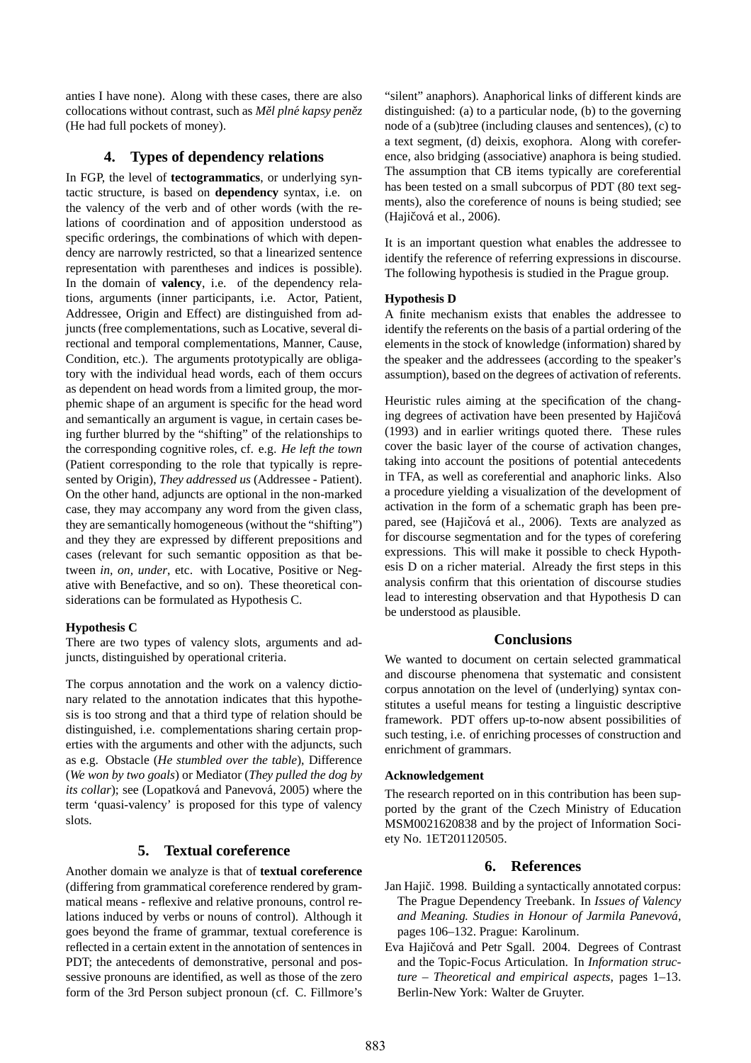anties I have none). Along with these cases, there are also collocations without contrast, such as *Měl plné kapsy peněz* (He had full pockets of money).

# **4. Types of dependency relations**

In FGP, the level of **tectogrammatics**, or underlying syntactic structure, is based on **dependency** syntax, i.e. on the valency of the verb and of other words (with the relations of coordination and of apposition understood as specific orderings, the combinations of which with dependency are narrowly restricted, so that a linearized sentence representation with parentheses and indices is possible). In the domain of **valency**, i.e. of the dependency relations, arguments (inner participants, i.e. Actor, Patient, Addressee, Origin and Effect) are distinguished from adjuncts (free complementations, such as Locative, several directional and temporal complementations, Manner, Cause, Condition, etc.). The arguments prototypically are obligatory with the individual head words, each of them occurs as dependent on head words from a limited group, the morphemic shape of an argument is specific for the head word and semantically an argument is vague, in certain cases being further blurred by the "shifting" of the relationships to the corresponding cognitive roles, cf. e.g. *He left the town* (Patient corresponding to the role that typically is represented by Origin), *They addressed us* (Addressee - Patient). On the other hand, adjuncts are optional in the non-marked case, they may accompany any word from the given class, they are semantically homogeneous (without the "shifting") and they they are expressed by different prepositions and cases (relevant for such semantic opposition as that between *in, on, under*, etc. with Locative, Positive or Negative with Benefactive, and so on). These theoretical considerations can be formulated as Hypothesis C.

# **Hypothesis C**

There are two types of valency slots, arguments and adjuncts, distinguished by operational criteria.

The corpus annotation and the work on a valency dictionary related to the annotation indicates that this hypothesis is too strong and that a third type of relation should be distinguished, i.e. complementations sharing certain properties with the arguments and other with the adjuncts, such as e.g. Obstacle (*He stumbled over the table*), Difference (*We won by two goals*) or Mediator (*They pulled the dog by its collar*); see (Lopatková and Panevová, 2005) where the term 'quasi-valency' is proposed for this type of valency slots.

# **5. Textual coreference**

Another domain we analyze is that of **textual coreference** (differing from grammatical coreference rendered by grammatical means - reflexive and relative pronouns, control relations induced by verbs or nouns of control). Although it goes beyond the frame of grammar, textual coreference is reflected in a certain extent in the annotation of sentences in PDT; the antecedents of demonstrative, personal and possessive pronouns are identified, as well as those of the zero form of the 3rd Person subject pronoun (cf. C. Fillmore's

"silent" anaphors). Anaphorical links of different kinds are distinguished: (a) to a particular node, (b) to the governing node of a (sub)tree (including clauses and sentences), (c) to a text segment, (d) deixis, exophora. Along with coreference, also bridging (associative) anaphora is being studied. The assumption that CB items typically are coreferential has been tested on a small subcorpus of PDT (80 text segments), also the coreference of nouns is being studied; see (Hajičová et al., 2006).

It is an important question what enables the addressee to identify the reference of referring expressions in discourse. The following hypothesis is studied in the Prague group.

### **Hypothesis D**

A finite mechanism exists that enables the addressee to identify the referents on the basis of a partial ordering of the elements in the stock of knowledge (information) shared by the speaker and the addressees (according to the speaker's assumption), based on the degrees of activation of referents.

Heuristic rules aiming at the specification of the changing degrees of activation have been presented by Hajičová (1993) and in earlier writings quoted there. These rules cover the basic layer of the course of activation changes, taking into account the positions of potential antecedents in TFA, as well as coreferential and anaphoric links. Also a procedure yielding a visualization of the development of activation in the form of a schematic graph has been prepared, see (Hajičová et al., 2006). Texts are analyzed as for discourse segmentation and for the types of corefering expressions. This will make it possible to check Hypothesis D on a richer material. Already the first steps in this analysis confirm that this orientation of discourse studies lead to interesting observation and that Hypothesis D can be understood as plausible.

# **Conclusions**

We wanted to document on certain selected grammatical and discourse phenomena that systematic and consistent corpus annotation on the level of (underlying) syntax constitutes a useful means for testing a linguistic descriptive framework. PDT offers up-to-now absent possibilities of such testing, i.e. of enriching processes of construction and enrichment of grammars.

### **Acknowledgement**

The research reported on in this contribution has been supported by the grant of the Czech Ministry of Education MSM0021620838 and by the project of Information Society No. 1ET201120505.

# **6. References**

- Jan Hajič. 1998. Building a syntactically annotated corpus: The Prague Dependency Treebank. In *Issues of Valency and Meaning. Studies in Honour of Jarmila Panevova´*, pages 106–132. Prague: Karolinum.
- Eva Hajičová and Petr Sgall. 2004. Degrees of Contrast and the Topic-Focus Articulation. In *Information structure – Theoretical and empirical aspects*, pages 1–13. Berlin-New York: Walter de Gruyter.